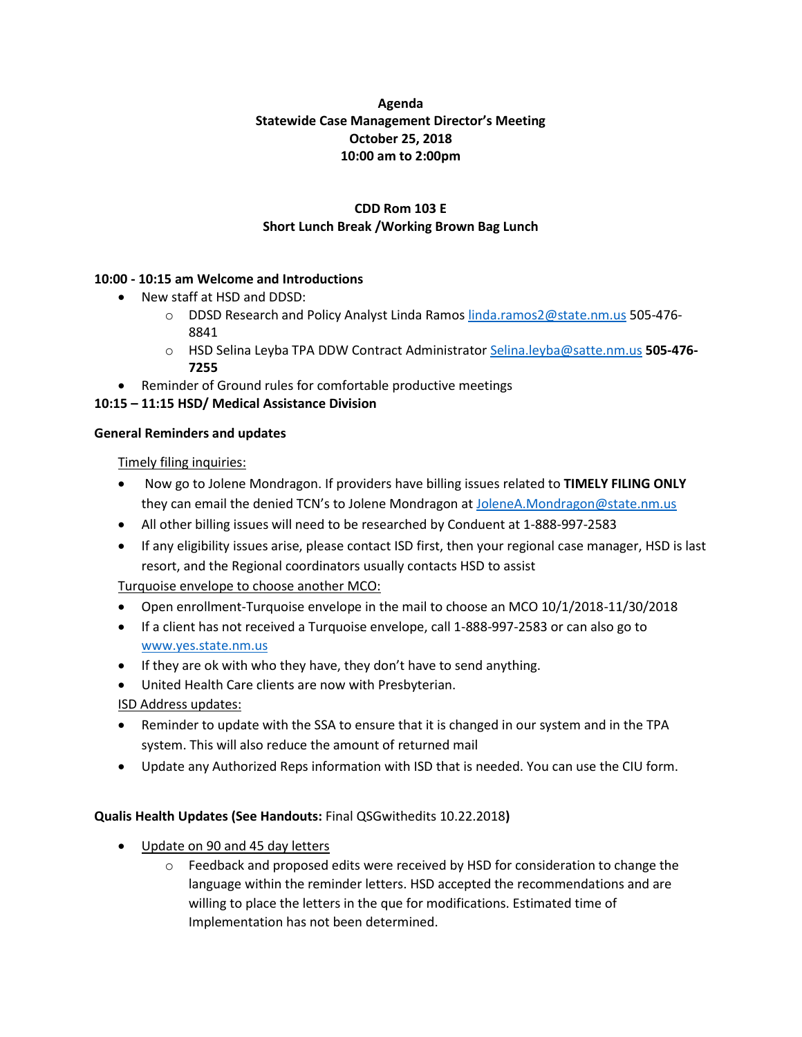# **Agenda Statewide Case Management Director's Meeting October 25, 2018 10:00 am to 2:00pm**

# **CDD Rom 103 E Short Lunch Break /Working Brown Bag Lunch**

## **10:00 - 10:15 am Welcome and Introductions**

- New staff at HSD and DDSD:
	- o DDSD Research and Policy Analyst Linda Ramo[s linda.ramos2@state.nm.us](mailto:linda.ramos2@state.nm.us) 505-476- 8841
	- o HSD Selina Leyba TPA DDW Contract Administrator [Selina.leyba@satte.nm.us](mailto:Selina.leyba@satte.nm.us) **505-476- 7255**
- Reminder of Ground rules for comfortable productive meetings

## **10:15 – 11:15 HSD/ Medical Assistance Division**

#### **General Reminders and updates**

Timely filing inquiries:

- Now go to Jolene Mondragon. If providers have billing issues related to **TIMELY FILING ONLY** they can email the denied TCN's to Jolene Mondragon at [JoleneA.Mondragon@state.nm.us](mailto:JoleneA.Mondragon@state.nm.us)
- All other billing issues will need to be researched by Conduent at 1-888-997-2583
- If any eligibility issues arise, please contact ISD first, then your regional case manager, HSD is last resort, and the Regional coordinators usually contacts HSD to assist

Turquoise envelope to choose another MCO:

- Open enrollment-Turquoise envelope in the mail to choose an MCO 10/1/2018-11/30/2018
- If a client has not received a Turquoise envelope, call 1-888-997-2583 or can also go to [www.yes.state.nm.us](http://www.yes.state.nm.us/)
- If they are ok with who they have, they don't have to send anything.
- United Health Care clients are now with Presbyterian.

ISD Address updates:

- Reminder to update with the SSA to ensure that it is changed in our system and in the TPA system. This will also reduce the amount of returned mail
- Update any Authorized Reps information with ISD that is needed. You can use the CIU form.

# **Qualis Health Updates (See Handouts:** Final QSGwithedits 10.22.2018**)**

- Update on 90 and 45 day letters
	- $\circ$  Feedback and proposed edits were received by HSD for consideration to change the language within the reminder letters. HSD accepted the recommendations and are willing to place the letters in the que for modifications. Estimated time of Implementation has not been determined.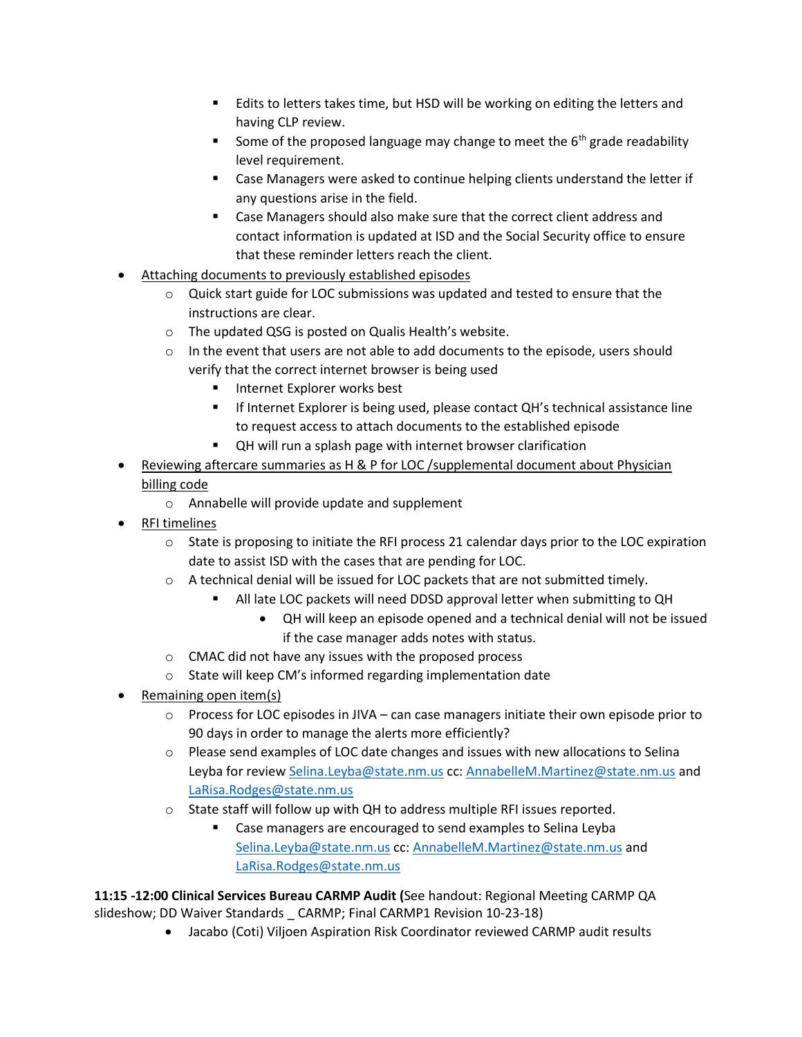- Edits to letters takes time, but HSD will be working on editing the letters and having CLP review.
- **E** Some of the proposed language may change to meet the  $6<sup>th</sup>$  grade readability level requirement.
- Case Managers were asked to continue helping clients understand the letter if any questions arise in the field.
- Case Managers should also make sure that the correct client address and contact information is updated at ISD and the Social Security office to ensure that these reminder letters reach the client.
- Attaching documents to previously established episodes
	- $\circ$  Quick start guide for LOC submissions was updated and tested to ensure that the instructions are clear.
	- o The updated QSG is posted on Qualis Health's website.
	- $\circ$  In the event that users are not able to add documents to the episode, users should verify that the correct internet browser is being used
		- Internet Explorer works best
		- **EXPLORER EXPLORER IS DEET IS DEET ASSESS** THE INTERFERIT IS SUPPOSE INC. to request access to attach documents to the established episode
		- QH will run a splash page with internet browser clarification
- Reviewing aftercare summaries as H & P for LOC /supplemental document about Physician billing code
	- o Annabelle will provide update and supplement
- RFI timelines
	- $\circ$  State is proposing to initiate the RFI process 21 calendar days prior to the LOC expiration date to assist ISD with the cases that are pending for LOC.
	- o A technical denial will be issued for LOC packets that are not submitted timely.
		- All late LOC packets will need DDSD approval letter when submitting to QH
			- QH will keep an episode opened and a technical denial will not be issued if the case manager adds notes with status.
	- o CMAC did not have any issues with the proposed process
	- o State will keep CM's informed regarding implementation date
- Remaining open item(s)
	- o Process for LOC episodes in JIVA can case managers initiate their own episode prior to 90 days in order to manage the alerts more efficiently?
	- $\circ$  Please send examples of LOC date changes and issues with new allocations to Selina Leyba for revie[w Selina.Leyba@state.nm.us](mailto:Selina.Leyba@state.nm.us) cc: [AnnabelleM.Martinez@state.nm.us](mailto:AnnabelleM.Martinez@state.nm.us) and [LaRisa.Rodges@state.nm.us](mailto:LaRisa.Rodges@state.nm.us)
	- o State staff will follow up with QH to address multiple RFI issues reported.
		- Case managers are encouraged to send examples to Selina Leyba [Selina.Leyba@state.nm.us](mailto:Selina.Leyba@state.nm.us) cc: [AnnabelleM.Martinez@state.nm.us](mailto:AnnabelleM.Martinez@state.nm.us) and [LaRisa.Rodges@state.nm.us](mailto:LaRisa.Rodges@state.nm.us)

**11:15 -12:00 Clinical Services Bureau CARMP Audit (**See handout: Regional Meeting CARMP QA slideshow; DD Waiver Standards \_ CARMP; Final CARMP1 Revision 10-23-18)

• Jacabo (Coti) Viljoen Aspiration Risk Coordinator reviewed CARMP audit results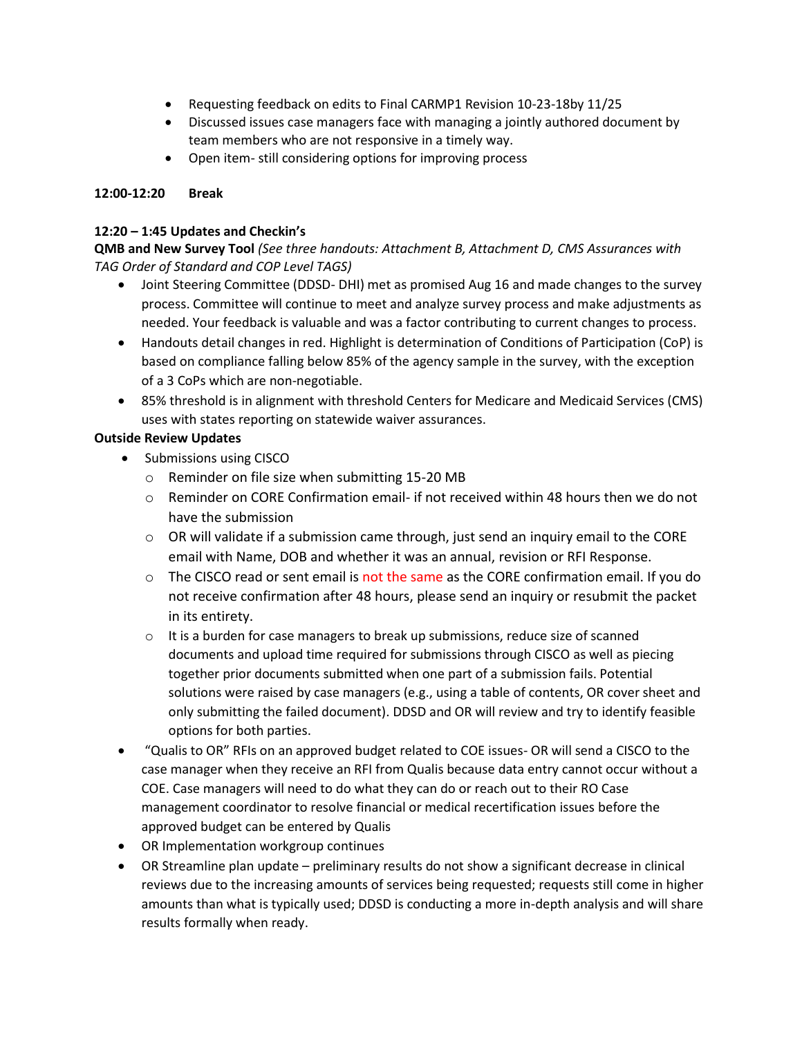- Requesting feedback on edits to Final CARMP1 Revision 10-23-18by 11/25
- Discussed issues case managers face with managing a jointly authored document by team members who are not responsive in a timely way.
- Open item- still considering options for improving process

## **12:00-12:20 Break**

## **12:20 – 1:45 Updates and Checkin's**

**QMB and New Survey Tool** *(See three handouts: Attachment B, Attachment D, CMS Assurances with TAG Order of Standard and COP Level TAGS)*

- Joint Steering Committee (DDSD- DHI) met as promised Aug 16 and made changes to the survey process. Committee will continue to meet and analyze survey process and make adjustments as needed. Your feedback is valuable and was a factor contributing to current changes to process.
- Handouts detail changes in red. Highlight is determination of Conditions of Participation (CoP) is based on compliance falling below 85% of the agency sample in the survey, with the exception of a 3 CoPs which are non-negotiable.
- 85% threshold is in alignment with threshold Centers for Medicare and Medicaid Services (CMS) uses with states reporting on statewide waiver assurances.

## **Outside Review Updates**

- Submissions using CISCO
	- o Reminder on file size when submitting 15-20 MB
	- $\circ$  Reminder on CORE Confirmation email- if not received within 48 hours then we do not have the submission
	- $\circ$  OR will validate if a submission came through, just send an inquiry email to the CORE email with Name, DOB and whether it was an annual, revision or RFI Response.
	- $\circ$  The CISCO read or sent email is not the same as the CORE confirmation email. If you do not receive confirmation after 48 hours, please send an inquiry or resubmit the packet in its entirety.
	- $\circ$  It is a burden for case managers to break up submissions, reduce size of scanned documents and upload time required for submissions through CISCO as well as piecing together prior documents submitted when one part of a submission fails. Potential solutions were raised by case managers (e.g., using a table of contents, OR cover sheet and only submitting the failed document). DDSD and OR will review and try to identify feasible options for both parties.
- "Qualis to OR" RFIs on an approved budget related to COE issues- OR will send a CISCO to the case manager when they receive an RFI from Qualis because data entry cannot occur without a COE. Case managers will need to do what they can do or reach out to their RO Case management coordinator to resolve financial or medical recertification issues before the approved budget can be entered by Qualis
- OR Implementation workgroup continues
- OR Streamline plan update preliminary results do not show a significant decrease in clinical reviews due to the increasing amounts of services being requested; requests still come in higher amounts than what is typically used; DDSD is conducting a more in-depth analysis and will share results formally when ready.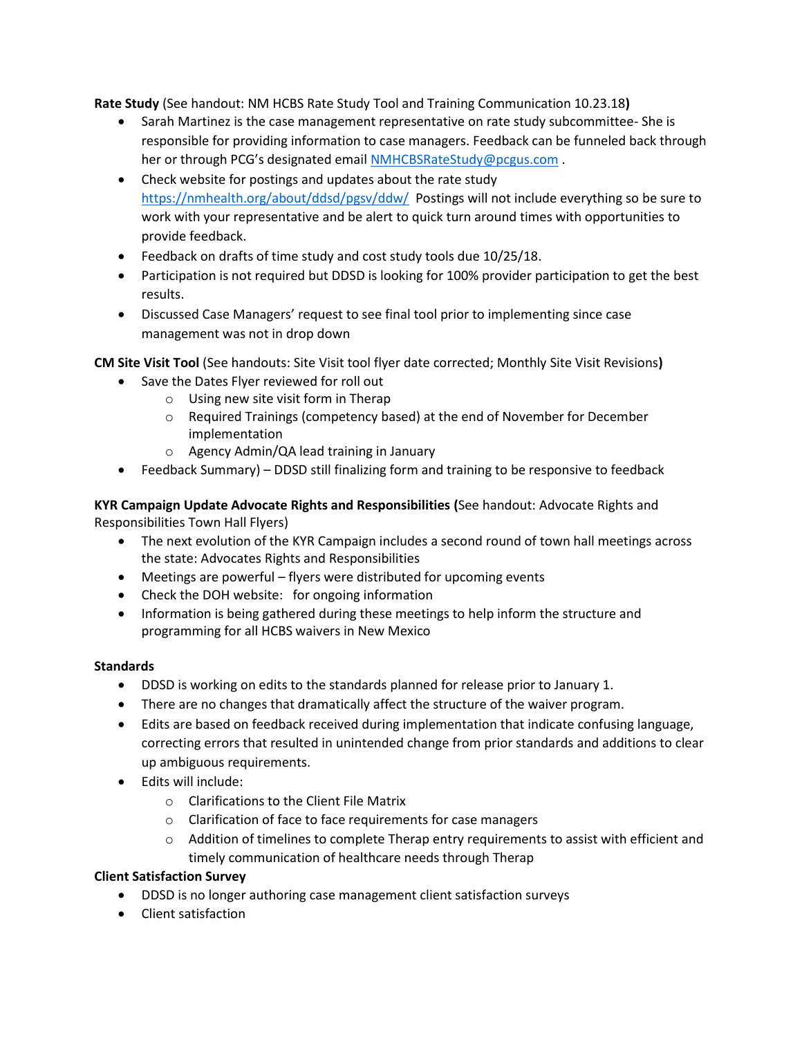**Rate Study** (See handout: NM HCBS Rate Study Tool and Training Communication 10.23.18**)**

- Sarah Martinez is the case management representative on rate study subcommittee- She is responsible for providing information to case managers. Feedback can be funneled back through her or through PCG's designated email [NMHCBSRateStudy@pcgus.com](mailto:NMHCBSRateStudy@pcgus.com).
- Check website for postings and updates about the rate study <https://nmhealth.org/about/ddsd/pgsv/ddw/> Postings will not include everything so be sure to work with your representative and be alert to quick turn around times with opportunities to provide feedback.
- Feedback on drafts of time study and cost study tools due 10/25/18.
- Participation is not required but DDSD is looking for 100% provider participation to get the best results.
- Discussed Case Managers' request to see final tool prior to implementing since case management was not in drop down

**CM Site Visit Tool** (See handouts: Site Visit tool flyer date corrected; Monthly Site Visit Revisions**)** 

- Save the Dates Flyer reviewed for roll out
	- o Using new site visit form in Therap
	- o Required Trainings (competency based) at the end of November for December implementation
	- o Agency Admin/QA lead training in January
- Feedback Summary) DDSD still finalizing form and training to be responsive to feedback

**KYR Campaign Update Advocate Rights and Responsibilities (**See handout: Advocate Rights and Responsibilities Town Hall Flyers)

- The next evolution of the KYR Campaign includes a second round of town hall meetings across the state: Advocates Rights and Responsibilities
- Meetings are powerful flyers were distributed for upcoming events
- Check the DOH website: for ongoing information
- Information is being gathered during these meetings to help inform the structure and programming for all HCBS waivers in New Mexico

# **Standards**

- DDSD is working on edits to the standards planned for release prior to January 1.
- There are no changes that dramatically affect the structure of the waiver program.
- Edits are based on feedback received during implementation that indicate confusing language, correcting errors that resulted in unintended change from prior standards and additions to clear up ambiguous requirements.
- Edits will include:
	- o Clarifications to the Client File Matrix
	- o Clarification of face to face requirements for case managers
	- $\circ$  Addition of timelines to complete Therap entry requirements to assist with efficient and timely communication of healthcare needs through Therap

#### **Client Satisfaction Survey**

- DDSD is no longer authoring case management client satisfaction surveys
- Client satisfaction